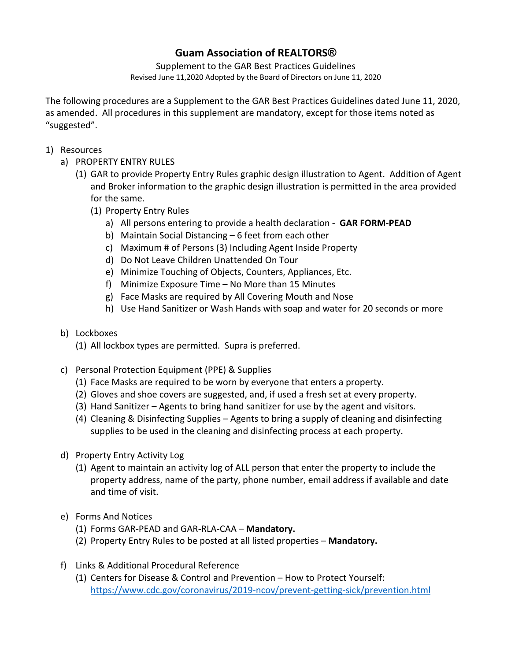## **Guam Association of REALTORS®**

Supplement to the GAR Best Practices Guidelines Revised June 11,2020 Adopted by the Board of Directors on June 11, 2020

The following procedures are a Supplement to the GAR Best Practices Guidelines dated June 11, 2020, as amended. All procedures in this supplement are mandatory, except for those items noted as "suggested".

- 1) Resources
	- a) PROPERTY ENTRY RULES
		- (1) GAR to provide Property Entry Rules graphic design illustration to Agent. Addition of Agent and Broker information to the graphic design illustration is permitted in the area provided for the same.
			- (1) Property Entry Rules
				- a) All persons entering to provide a health declaration **GAR FORM-PEAD**
				- b) Maintain Social Distancing 6 feet from each other
				- c) Maximum # of Persons (3) Including Agent Inside Property
				- d) Do Not Leave Children Unattended On Tour
				- e) Minimize Touching of Objects, Counters, Appliances, Etc.
				- f) Minimize Exposure Time No More than 15 Minutes
				- g) Face Masks are required by All Covering Mouth and Nose
				- h) Use Hand Sanitizer or Wash Hands with soap and water for 20 seconds or more

## b) Lockboxes

- (1) All lockbox types are permitted. Supra is preferred.
- c) Personal Protection Equipment (PPE) & Supplies
	- (1) Face Masks are required to be worn by everyone that enters a property.
	- (2) Gloves and shoe covers are suggested, and, if used a fresh set at every property.
	- (3) Hand Sanitizer Agents to bring hand sanitizer for use by the agent and visitors.
	- (4) Cleaning & Disinfecting Supplies Agents to bring a supply of cleaning and disinfecting supplies to be used in the cleaning and disinfecting process at each property.
- d) Property Entry Activity Log
	- (1) Agent to maintain an activity log of ALL person that enter the property to include the property address, name of the party, phone number, email address if available and date and time of visit.
- e) Forms And Notices
	- (1) Forms GAR-PEAD and GAR-RLA-CAA **Mandatory.**
	- (2) Property Entry Rules to be posted at all listed properties **Mandatory.**
- f) Links & Additional Procedural Reference
	- (1) Centers for Disease & Control and Prevention How to Protect Yourself: https://www.cdc.gov/coronavirus/2019-ncov/prevent-getting-sick/prevention.html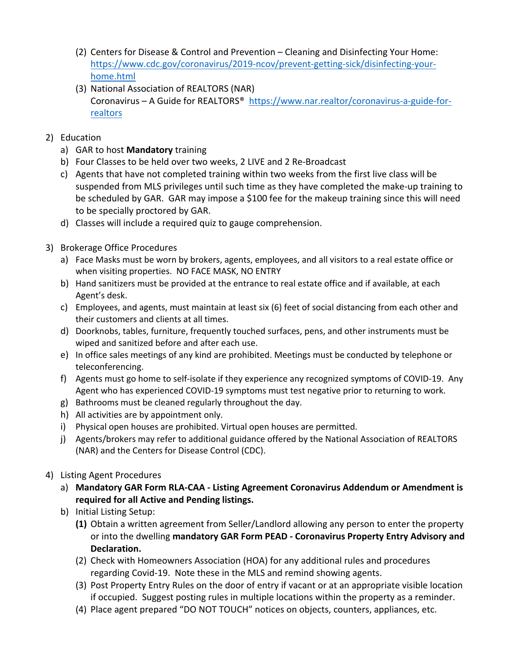- (2) Centers for Disease & Control and Prevention Cleaning and Disinfecting Your Home: https://www.cdc.gov/coronavirus/2019-ncov/prevent-getting-sick/disinfecting-yourhome.html
- (3) National Association of REALTORS (NAR) Coronavirus – A Guide for REALTORS® https://www.nar.realtor/coronavirus-a-guide-forrealtors
- 2) Education
	- a) GAR to host **Mandatory** training
	- b) Four Classes to be held over two weeks, 2 LIVE and 2 Re-Broadcast
	- c) Agents that have not completed training within two weeks from the first live class will be suspended from MLS privileges until such time as they have completed the make-up training to be scheduled by GAR. GAR may impose a \$100 fee for the makeup training since this will need to be specially proctored by GAR.
	- d) Classes will include a required quiz to gauge comprehension.
- 3) Brokerage Office Procedures
	- a) Face Masks must be worn by brokers, agents, employees, and all visitors to a real estate office or when visiting properties. NO FACE MASK, NO ENTRY
	- b) Hand sanitizers must be provided at the entrance to real estate office and if available, at each Agent's desk.
	- c) Employees, and agents, must maintain at least six (6) feet of social distancing from each other and their customers and clients at all times.
	- d) Doorknobs, tables, furniture, frequently touched surfaces, pens, and other instruments must be wiped and sanitized before and after each use.
	- e) In office sales meetings of any kind are prohibited. Meetings must be conducted by telephone or teleconferencing.
	- f) Agents must go home to self-isolate if they experience any recognized symptoms of COVID-19. Any Agent who has experienced COVID-19 symptoms must test negative prior to returning to work.
	- g) Bathrooms must be cleaned regularly throughout the day.
	- h) All activities are by appointment only.
	- i) Physical open houses are prohibited. Virtual open houses are permitted.
	- j) Agents/brokers may refer to additional guidance offered by the National Association of REALTORS (NAR) and the Centers for Disease Control (CDC).
- 4) Listing Agent Procedures
	- a) **Mandatory GAR Form RLA-CAA - Listing Agreement Coronavirus Addendum or Amendment is required for all Active and Pending listings.**
	- b) Initial Listing Setup:
		- **(1)** Obtain a written agreement from Seller/Landlord allowing any person to enter the property or into the dwelling **mandatory GAR Form PEAD - Coronavirus Property Entry Advisory and Declaration.**
		- (2) Check with Homeowners Association (HOA) for any additional rules and procedures regarding Covid-19. Note these in the MLS and remind showing agents.
		- (3) Post Property Entry Rules on the door of entry if vacant or at an appropriate visible location if occupied. Suggest posting rules in multiple locations within the property as a reminder.
		- (4) Place agent prepared "DO NOT TOUCH" notices on objects, counters, appliances, etc.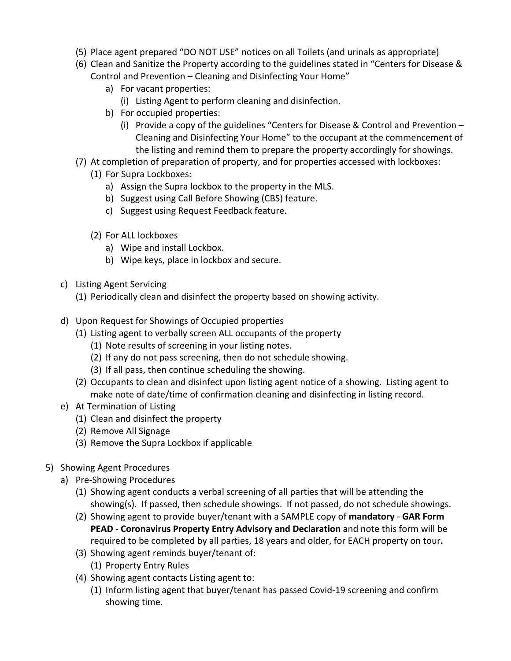- (5) Place agent prepared "DO NOT USE" notices on all Toilets (and urinals as appropriate)
- (6) Clean and Sanitize the Property according to the guidelines stated in "Centers for Disease & Control and Prevention – Cleaning and Disinfecting Your Home"
	- a) For vacant properties:
		- (i) Listing Agent to perform cleaning and disinfection.
	- b) For occupied properties:
		- (i) Provide a copy of the guidelines "Centers for Disease & Control and Prevention  $-$ Cleaning and Disinfecting Your Home" to the occupant at the commencement of the listing and remind them to prepare the property accordingly for showings.
- (7) At completion of preparation of property, and for properties accessed with lockboxes:
	- (1) For Supra Lockboxes:
		- a) Assign the Supra lockbox to the property in the MLS.
		- b) Suggest using Call Before Showing (CBS) feature.
		- c) Suggest using Request Feedback feature.
	- (2) For ALL lockboxes
		- a) Wipe and install Lockbox.
		- b) Wipe keys, place in lockbox and secure.
- c) Listing Agent Servicing
	- (1) Periodically clean and disinfect the property based on showing activity.
- d) Upon Request for Showings of Occupied properties
	- (1) Listing agent to verbally screen ALL occupants of the property
		- (1) Note results of screening in your listing notes.
		- (2) If any do not pass screening, then do not schedule showing.
		- (3) If all pass, then continue scheduling the showing.
	- (2) Occupants to clean and disinfect upon listing agent notice of a showing. Listing agent to make note of date/time of confirmation cleaning and disinfecting in listing record.
- e) At Termination of Listing
	- (1) Clean and disinfect the property
	- (2) Remove All Signage
	- (3) Remove the Supra Lockbox if applicable
- 5) Showing Agent Procedures
	- a) Pre-Showing Procedures
		- (1) Showing agent conducts a verbal screening of all parties that will be attending the showing(s). If passed, then schedule showings. If not passed, do not schedule showings.
		- (2) Showing agent to provide buyer/tenant with a SAMPLE copy of **mandatory GAR Form PEAD - Coronavirus Property Entry Advisory and Declaration** and note this form will be required to be completed by all parties, 18 years and older, for EACH property on tour**.**
		- (3) Showing agent reminds buyer/tenant of:
			- (1) Property Entry Rules
		- (4) Showing agent contacts Listing agent to:
			- (1) Inform listing agent that buyer/tenant has passed Covid-19 screening and confirm showing time.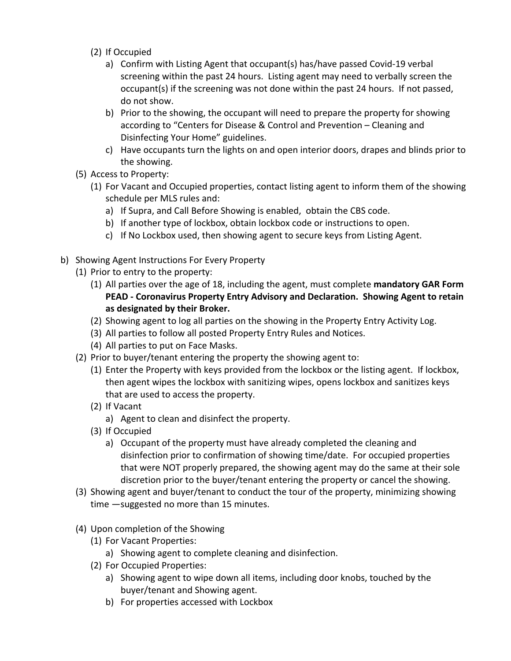- (2) If Occupied
	- a) Confirm with Listing Agent that occupant(s) has/have passed Covid-19 verbal screening within the past 24 hours. Listing agent may need to verbally screen the occupant(s) if the screening was not done within the past 24 hours. If not passed, do not show.
	- b) Prior to the showing, the occupant will need to prepare the property for showing according to "Centers for Disease & Control and Prevention – Cleaning and Disinfecting Your Home" guidelines.
	- c) Have occupants turn the lights on and open interior doors, drapes and blinds prior to the showing.
- (5) Access to Property:
	- (1) For Vacant and Occupied properties, contact listing agent to inform them of the showing schedule per MLS rules and:
		- a) If Supra, and Call Before Showing is enabled, obtain the CBS code.
		- b) If another type of lockbox, obtain lockbox code or instructions to open.
		- c) If No Lockbox used, then showing agent to secure keys from Listing Agent.
- b) Showing Agent Instructions For Every Property
	- (1) Prior to entry to the property:
		- (1) All parties over the age of 18, including the agent, must complete **mandatory GAR Form PEAD - Coronavirus Property Entry Advisory and Declaration. Showing Agent to retain as designated by their Broker.**
		- (2) Showing agent to log all parties on the showing in the Property Entry Activity Log.
		- (3) All parties to follow all posted Property Entry Rules and Notices.
		- (4) All parties to put on Face Masks.
	- (2) Prior to buyer/tenant entering the property the showing agent to:
		- (1) Enter the Property with keys provided from the lockbox or the listing agent. If lockbox, then agent wipes the lockbox with sanitizing wipes, opens lockbox and sanitizes keys that are used to access the property.
		- (2) If Vacant
			- a) Agent to clean and disinfect the property.
		- (3) If Occupied
			- a) Occupant of the property must have already completed the cleaning and disinfection prior to confirmation of showing time/date. For occupied properties that were NOT properly prepared, the showing agent may do the same at their sole discretion prior to the buyer/tenant entering the property or cancel the showing.
	- (3) Showing agent and buyer/tenant to conduct the tour of the property, minimizing showing time —suggested no more than 15 minutes.
	- (4) Upon completion of the Showing
		- (1) For Vacant Properties:
			- a) Showing agent to complete cleaning and disinfection.
		- (2) For Occupied Properties:
			- a) Showing agent to wipe down all items, including door knobs, touched by the buyer/tenant and Showing agent.
			- b) For properties accessed with Lockbox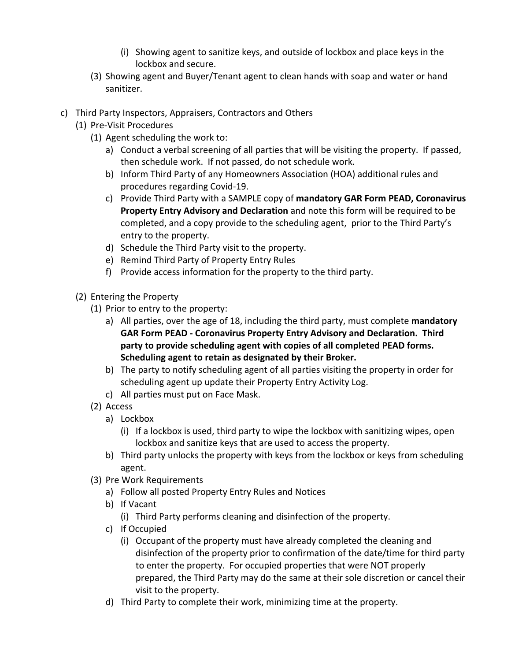- (i) Showing agent to sanitize keys, and outside of lockbox and place keys in the lockbox and secure.
- (3) Showing agent and Buyer/Tenant agent to clean hands with soap and water or hand sanitizer.
- c) Third Party Inspectors, Appraisers, Contractors and Others
	- (1) Pre-Visit Procedures
		- (1) Agent scheduling the work to:
			- a) Conduct a verbal screening of all parties that will be visiting the property. If passed, then schedule work. If not passed, do not schedule work.
			- b) Inform Third Party of any Homeowners Association (HOA) additional rules and procedures regarding Covid-19.
			- c) Provide Third Party with a SAMPLE copy of **mandatory GAR Form PEAD, Coronavirus Property Entry Advisory and Declaration** and note this form will be required to be completed, and a copy provide to the scheduling agent, prior to the Third Party's entry to the property.
			- d) Schedule the Third Party visit to the property.
			- e) Remind Third Party of Property Entry Rules
			- f) Provide access information for the property to the third party.
	- (2) Entering the Property
		- (1) Prior to entry to the property:
			- a) All parties, over the age of 18, including the third party, must complete **mandatory GAR Form PEAD - Coronavirus Property Entry Advisory and Declaration. Third party to provide scheduling agent with copies of all completed PEAD forms. Scheduling agent to retain as designated by their Broker.**
			- b) The party to notify scheduling agent of all parties visiting the property in order for scheduling agent up update their Property Entry Activity Log.
			- c) All parties must put on Face Mask.
		- (2) Access
			- a) Lockbox
				- (i) If a lockbox is used, third party to wipe the lockbox with sanitizing wipes, open lockbox and sanitize keys that are used to access the property.
			- b) Third party unlocks the property with keys from the lockbox or keys from scheduling agent.
		- (3) Pre Work Requirements
			- a) Follow all posted Property Entry Rules and Notices
			- b) If Vacant

(i) Third Party performs cleaning and disinfection of the property.

- c) If Occupied
	- (i) Occupant of the property must have already completed the cleaning and disinfection of the property prior to confirmation of the date/time for third party to enter the property. For occupied properties that were NOT properly prepared, the Third Party may do the same at their sole discretion or cancel their visit to the property.
- d) Third Party to complete their work, minimizing time at the property.